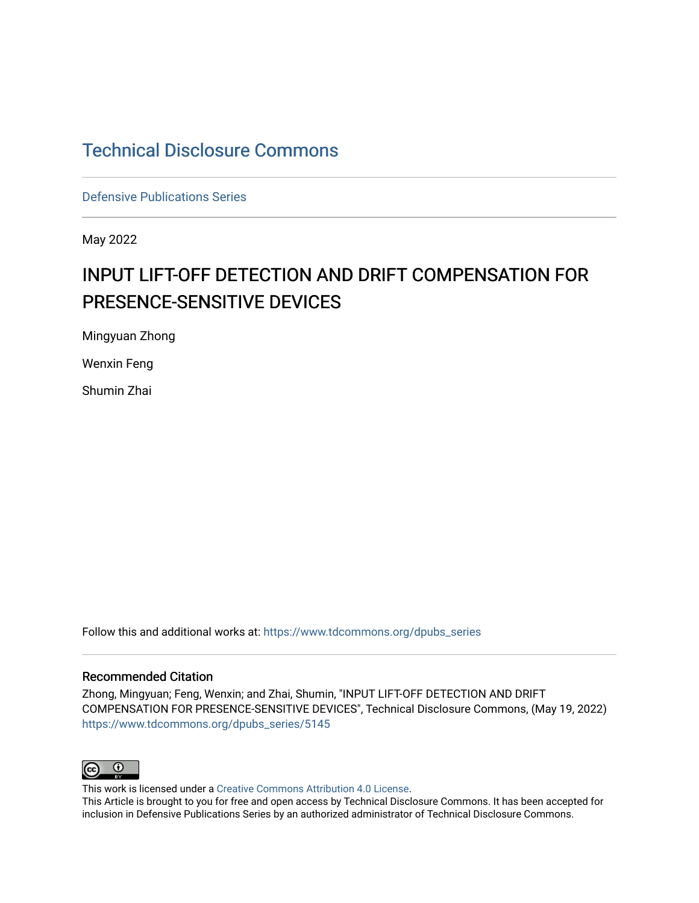# [Technical Disclosure Commons](https://www.tdcommons.org/)

[Defensive Publications Series](https://www.tdcommons.org/dpubs_series)

May 2022

# INPUT LIFT-OFF DETECTION AND DRIFT COMPENSATION FOR PRESENCE-SENSITIVE DEVICES

Mingyuan Zhong

Wenxin Feng

Shumin Zhai

Follow this and additional works at: [https://www.tdcommons.org/dpubs\\_series](https://www.tdcommons.org/dpubs_series?utm_source=www.tdcommons.org%2Fdpubs_series%2F5145&utm_medium=PDF&utm_campaign=PDFCoverPages) 

### Recommended Citation

Zhong, Mingyuan; Feng, Wenxin; and Zhai, Shumin, "INPUT LIFT-OFF DETECTION AND DRIFT COMPENSATION FOR PRESENCE-SENSITIVE DEVICES", Technical Disclosure Commons, (May 19, 2022) [https://www.tdcommons.org/dpubs\\_series/5145](https://www.tdcommons.org/dpubs_series/5145?utm_source=www.tdcommons.org%2Fdpubs_series%2F5145&utm_medium=PDF&utm_campaign=PDFCoverPages)



This work is licensed under a [Creative Commons Attribution 4.0 License](http://creativecommons.org/licenses/by/4.0/deed.en_US).

This Article is brought to you for free and open access by Technical Disclosure Commons. It has been accepted for inclusion in Defensive Publications Series by an authorized administrator of Technical Disclosure Commons.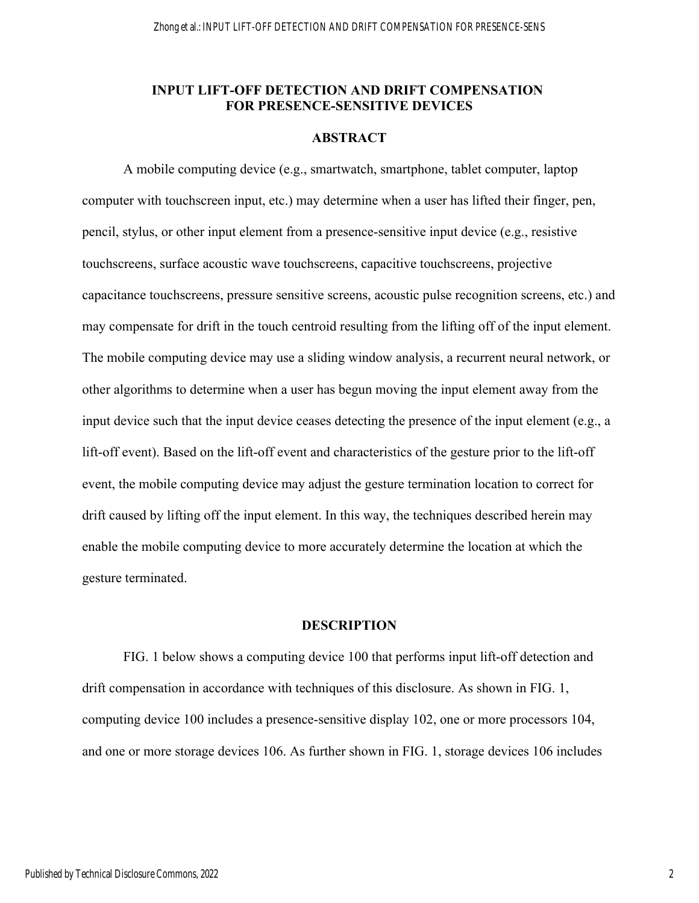# **INPUT LIFT-OFF DETECTION AND DRIFT COMPENSATION FOR PRESENCE-SENSITIVE DEVICES**

# **ABSTRACT**

 A mobile computing device (e.g., smartwatch, smartphone, tablet computer, laptop computer with touchscreen input, etc.) may determine when a user has lifted their finger, pen, pencil, stylus, or other input element from a presence-sensitive input device (e.g., resistive touchscreens, surface acoustic wave touchscreens, capacitive touchscreens, projective capacitance touchscreens, pressure sensitive screens, acoustic pulse recognition screens, etc.) and may compensate for drift in the touch centroid resulting from the lifting off of the input element. The mobile computing device may use a sliding window analysis, a recurrent neural network, or other algorithms to determine when a user has begun moving the input element away from the input device such that the input device ceases detecting the presence of the input element (e.g., a lift-off event). Based on the lift-off event and characteristics of the gesture prior to the lift-off event, the mobile computing device may adjust the gesture termination location to correct for drift caused by lifting off the input element. In this way, the techniques described herein may enable the mobile computing device to more accurately determine the location at which the gesture terminated.

## **DESCRIPTION**

 FIG. 1 below shows a computing device 100 that performs input lift-off detection and drift compensation in accordance with techniques of this disclosure. As shown in FIG. 1, computing device 100 includes a presence-sensitive display 102, one or more processors 104, and one or more storage devices 106. As further shown in FIG. 1, storage devices 106 includes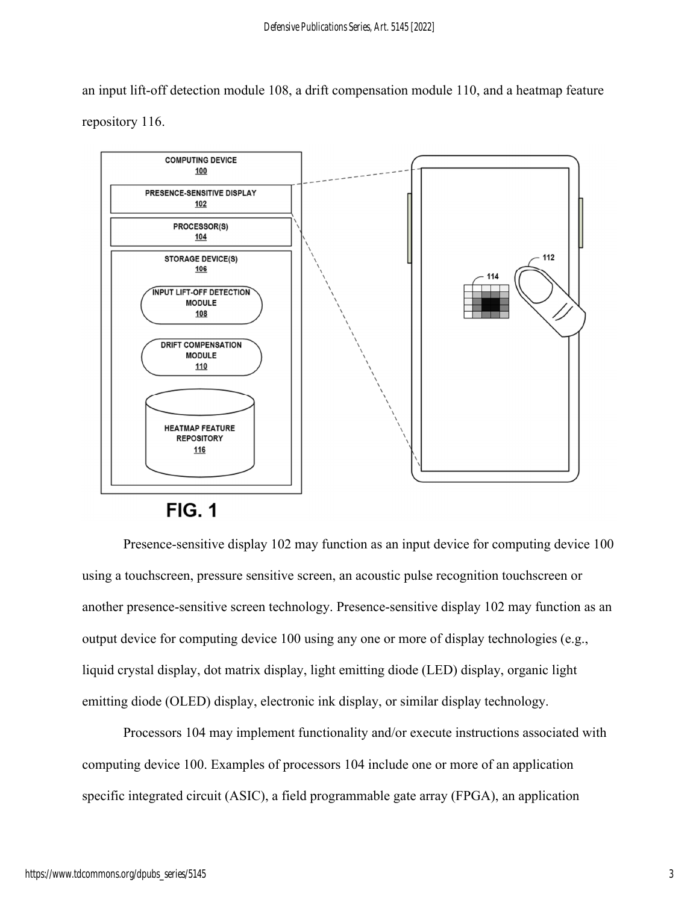an input lift-off detection module 108, a drift compensation module 110, and a heatmap feature repository 116.



**FIG. 1** 

Presence-sensitive display 102 may function as an input device for computing device 100 using a touchscreen, pressure sensitive screen, an acoustic pulse recognition touchscreen or another presence-sensitive screen technology. Presence-sensitive display 102 may function as an output device for computing device 100 using any one or more of display technologies (e.g., liquid crystal display, dot matrix display, light emitting diode (LED) display, organic light emitting diode (OLED) display, electronic ink display, or similar display technology.

Processors 104 may implement functionality and/or execute instructions associated with computing device 100. Examples of processors 104 include one or more of an application specific integrated circuit (ASIC), a field programmable gate array (FPGA), an application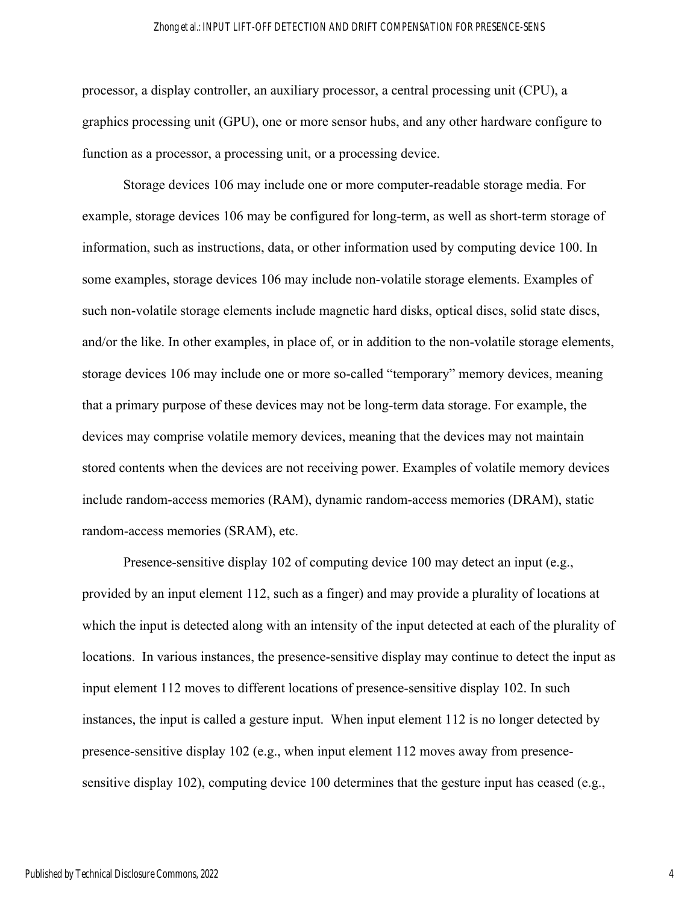#### Zhong et al.: INPUT LIFT-OFF DETECTION AND DRIFT COMPENSATION FOR PRESENCE-SENS

processor, a display controller, an auxiliary processor, a central processing unit (CPU), a graphics processing unit (GPU), one or more sensor hubs, and any other hardware configure to function as a processor, a processing unit, or a processing device.

Storage devices 106 may include one or more computer-readable storage media. For example, storage devices 106 may be configured for long-term, as well as short-term storage of information, such as instructions, data, or other information used by computing device 100. In some examples, storage devices 106 may include non-volatile storage elements. Examples of such non-volatile storage elements include magnetic hard disks, optical discs, solid state discs, and/or the like. In other examples, in place of, or in addition to the non-volatile storage elements, storage devices 106 may include one or more so-called "temporary" memory devices, meaning that a primary purpose of these devices may not be long-term data storage. For example, the devices may comprise volatile memory devices, meaning that the devices may not maintain stored contents when the devices are not receiving power. Examples of volatile memory devices include random-access memories (RAM), dynamic random-access memories (DRAM), static random-access memories (SRAM), etc.

Presence-sensitive display 102 of computing device 100 may detect an input (e.g., provided by an input element 112, such as a finger) and may provide a plurality of locations at which the input is detected along with an intensity of the input detected at each of the plurality of locations. In various instances, the presence-sensitive display may continue to detect the input as input element 112 moves to different locations of presence-sensitive display 102. In such instances, the input is called a gesture input. When input element 112 is no longer detected by presence-sensitive display 102 (e.g., when input element 112 moves away from presencesensitive display 102), computing device 100 determines that the gesture input has ceased (e.g.,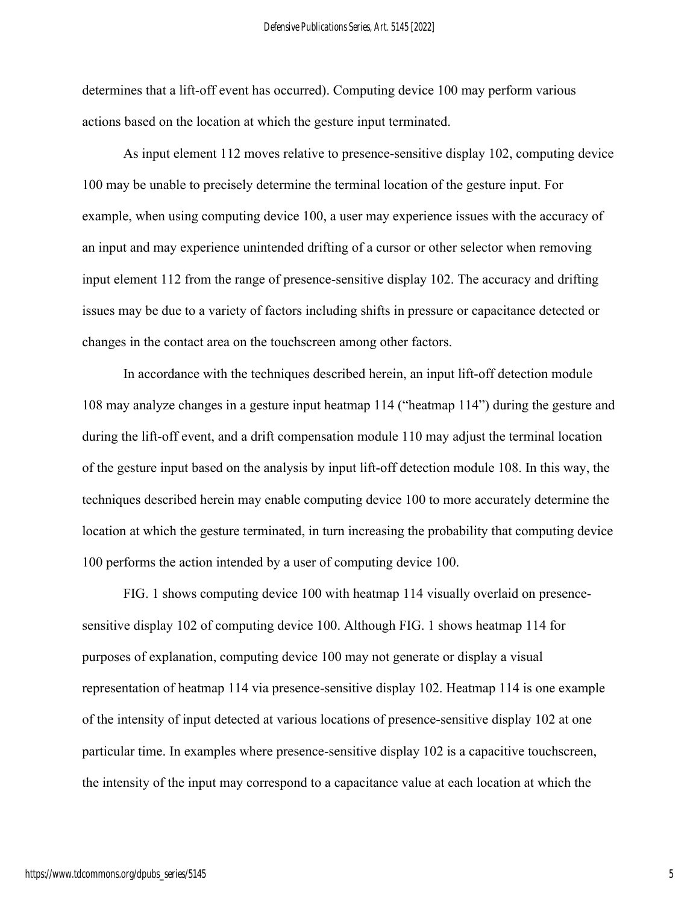determines that a lift-off event has occurred). Computing device 100 may perform various actions based on the location at which the gesture input terminated.

As input element 112 moves relative to presence-sensitive display 102, computing device 100 may be unable to precisely determine the terminal location of the gesture input. For example, when using computing device 100, a user may experience issues with the accuracy of an input and may experience unintended drifting of a cursor or other selector when removing input element 112 from the range of presence-sensitive display 102. The accuracy and drifting issues may be due to a variety of factors including shifts in pressure or capacitance detected or changes in the contact area on the touchscreen among other factors.

In accordance with the techniques described herein, an input lift-off detection module 108 may analyze changes in a gesture input heatmap 114 ("heatmap 114") during the gesture and during the lift-off event, and a drift compensation module 110 may adjust the terminal location of the gesture input based on the analysis by input lift-off detection module 108. In this way, the techniques described herein may enable computing device 100 to more accurately determine the location at which the gesture terminated, in turn increasing the probability that computing device 100 performs the action intended by a user of computing device 100.

FIG. 1 shows computing device 100 with heatmap 114 visually overlaid on presencesensitive display 102 of computing device 100. Although FIG. 1 shows heatmap 114 for purposes of explanation, computing device 100 may not generate or display a visual representation of heatmap 114 via presence-sensitive display 102. Heatmap 114 is one example of the intensity of input detected at various locations of presence-sensitive display 102 at one particular time. In examples where presence-sensitive display 102 is a capacitive touchscreen, the intensity of the input may correspond to a capacitance value at each location at which the

5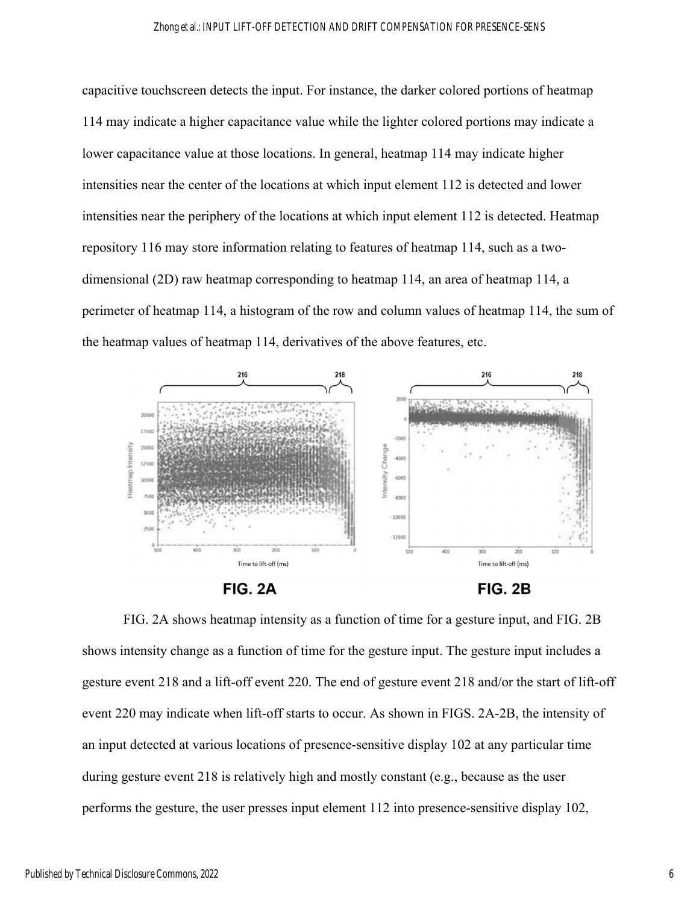#### Zhong et al.: INPUT LIFT-OFF DETECTION AND DRIFT COMPENSATION FOR PRESENCE-SENS

capacitive touchscreen detects the input. For instance, the darker colored portions of heatmap 114 may indicate a higher capacitance value while the lighter colored portions may indicate a lower capacitance value at those locations. In general, heatmap 114 may indicate higher intensities near the center of the locations at which input element 112 is detected and lower intensities near the periphery of the locations at which input element 112 is detected. Heatmap repository 116 may store information relating to features of heatmap 114, such as a twodimensional (2D) raw heatmap corresponding to heatmap 114, an area of heatmap 114, a perimeter of heatmap 114, a histogram of the row and column values of heatmap 114, the sum of the heatmap values of heatmap 114, derivatives of the above features, etc.







FIG. 2A shows heatmap intensity as a function of time for a gesture input, and FIG. 2B shows intensity change as a function of time for the gesture input. The gesture input includes a gesture event 218 and a lift-off event 220. The end of gesture event 218 and/or the start of lift-off event 220 may indicate when lift-off starts to occur. As shown in FIGS. 2A-2B, the intensity of an input detected at various locations of presence-sensitive display 102 at any particular time during gesture event 218 is relatively high and mostly constant (e.g., because as the user performs the gesture, the user presses input element 112 into presence-sensitive display 102,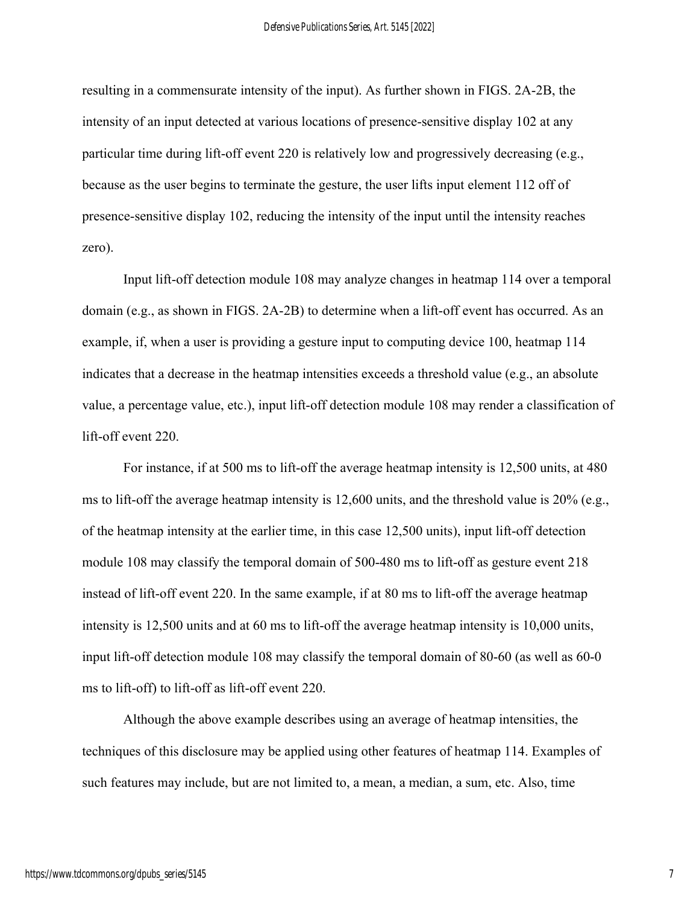resulting in a commensurate intensity of the input). As further shown in FIGS. 2A-2B, the intensity of an input detected at various locations of presence-sensitive display 102 at any particular time during lift-off event 220 is relatively low and progressively decreasing (e.g., because as the user begins to terminate the gesture, the user lifts input element 112 off of presence-sensitive display 102, reducing the intensity of the input until the intensity reaches zero).

Input lift-off detection module 108 may analyze changes in heatmap 114 over a temporal domain (e.g., as shown in FIGS. 2A-2B) to determine when a lift-off event has occurred. As an example, if, when a user is providing a gesture input to computing device 100, heatmap 114 indicates that a decrease in the heatmap intensities exceeds a threshold value (e.g., an absolute value, a percentage value, etc.), input lift-off detection module 108 may render a classification of lift-off event 220.

For instance, if at 500 ms to lift-off the average heatmap intensity is 12,500 units, at 480 ms to lift-off the average heatmap intensity is 12,600 units, and the threshold value is 20% (e.g., of the heatmap intensity at the earlier time, in this case 12,500 units), input lift-off detection module 108 may classify the temporal domain of 500-480 ms to lift-off as gesture event 218 instead of lift-off event 220. In the same example, if at 80 ms to lift-off the average heatmap intensity is 12,500 units and at 60 ms to lift-off the average heatmap intensity is 10,000 units, input lift-off detection module 108 may classify the temporal domain of 80-60 (as well as 60-0 ms to lift-off) to lift-off as lift-off event 220.

Although the above example describes using an average of heatmap intensities, the techniques of this disclosure may be applied using other features of heatmap 114. Examples of such features may include, but are not limited to, a mean, a median, a sum, etc. Also, time

7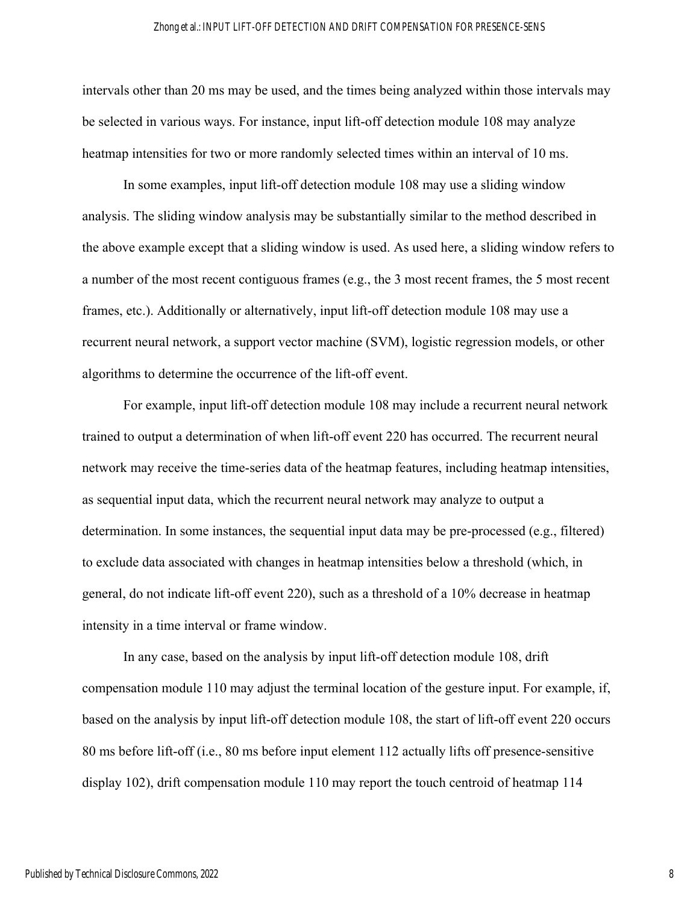#### Zhong et al.: INPUT LIFT-OFF DETECTION AND DRIFT COMPENSATION FOR PRESENCE-SENS

intervals other than 20 ms may be used, and the times being analyzed within those intervals may be selected in various ways. For instance, input lift-off detection module 108 may analyze heatmap intensities for two or more randomly selected times within an interval of 10 ms.

In some examples, input lift-off detection module 108 may use a sliding window analysis. The sliding window analysis may be substantially similar to the method described in the above example except that a sliding window is used. As used here, a sliding window refers to a number of the most recent contiguous frames (e.g., the 3 most recent frames, the 5 most recent frames, etc.). Additionally or alternatively, input lift-off detection module 108 may use a recurrent neural network, a support vector machine (SVM), logistic regression models, or other algorithms to determine the occurrence of the lift-off event.

For example, input lift-off detection module 108 may include a recurrent neural network trained to output a determination of when lift-off event 220 has occurred. The recurrent neural network may receive the time-series data of the heatmap features, including heatmap intensities, as sequential input data, which the recurrent neural network may analyze to output a determination. In some instances, the sequential input data may be pre-processed (e.g., filtered) to exclude data associated with changes in heatmap intensities below a threshold (which, in general, do not indicate lift-off event 220), such as a threshold of a 10% decrease in heatmap intensity in a time interval or frame window.

 In any case, based on the analysis by input lift-off detection module 108, drift compensation module 110 may adjust the terminal location of the gesture input. For example, if, based on the analysis by input lift-off detection module 108, the start of lift-off event 220 occurs 80 ms before lift-off (i.e., 80 ms before input element 112 actually lifts off presence-sensitive display 102), drift compensation module 110 may report the touch centroid of heatmap 114